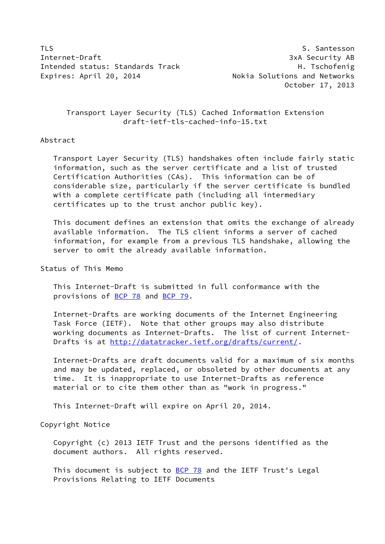TLS Santesson St. Santesson St. Santesson St. Santesson St. Santesson St. Santesson St. Santesson St. Santesson Internet-Draft 3xA Security AB Intended status: Standards Track H. Tschofenig Expires: April 20, 2014 **Nokia Solutions and Networks** 

October 17, 2013

 Transport Layer Security (TLS) Cached Information Extension draft-ietf-tls-cached-info-15.txt

#### Abstract

 Transport Layer Security (TLS) handshakes often include fairly static information, such as the server certificate and a list of trusted Certification Authorities (CAs). This information can be of considerable size, particularly if the server certificate is bundled with a complete certificate path (including all intermediary certificates up to the trust anchor public key).

 This document defines an extension that omits the exchange of already available information. The TLS client informs a server of cached information, for example from a previous TLS handshake, allowing the server to omit the already available information.

## Status of This Memo

 This Internet-Draft is submitted in full conformance with the provisions of [BCP 78](https://datatracker.ietf.org/doc/pdf/bcp78) and [BCP 79](https://datatracker.ietf.org/doc/pdf/bcp79).

 Internet-Drafts are working documents of the Internet Engineering Task Force (IETF). Note that other groups may also distribute working documents as Internet-Drafts. The list of current Internet- Drafts is at<http://datatracker.ietf.org/drafts/current/>.

 Internet-Drafts are draft documents valid for a maximum of six months and may be updated, replaced, or obsoleted by other documents at any time. It is inappropriate to use Internet-Drafts as reference material or to cite them other than as "work in progress."

This Internet-Draft will expire on April 20, 2014.

## Copyright Notice

 Copyright (c) 2013 IETF Trust and the persons identified as the document authors. All rights reserved.

This document is subject to [BCP 78](https://datatracker.ietf.org/doc/pdf/bcp78) and the IETF Trust's Legal Provisions Relating to IETF Documents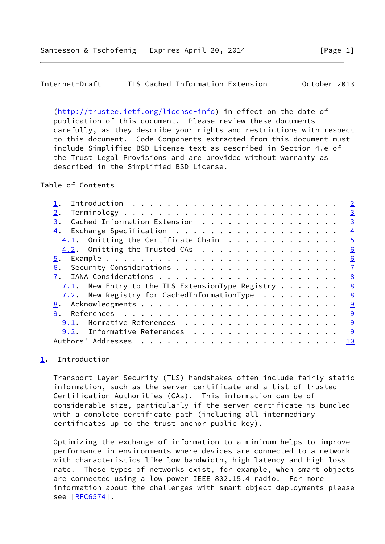<span id="page-1-1"></span>Internet-Draft TLS Cached Information Extension October 2013

 [\(http://trustee.ietf.org/license-info](http://trustee.ietf.org/license-info)) in effect on the date of publication of this document. Please review these documents carefully, as they describe your rights and restrictions with respect to this document. Code Components extracted from this document must include Simplified BSD License text as described in Section 4.e of the Trust Legal Provisions and are provided without warranty as described in the Simplified BSD License.

Table of Contents

|                                                                 | $\overline{2}$ |
|-----------------------------------------------------------------|----------------|
| 2.                                                              | $\overline{3}$ |
| Cached Information Extension<br>3.                              | $\overline{3}$ |
| 4.                                                              | $\overline{4}$ |
| $4.1$ . Omitting the Certificate Chain                          | $\overline{5}$ |
| $4.2$ . Omitting the Trusted CAs                                | 6              |
| 5.                                                              | 6              |
| 6.                                                              | $\mathbf{Z}$   |
|                                                                 | 8              |
| 7.1. New Entry to the TLS ExtensionType Registry                | 8              |
| 7.2. New Registry for CachedInformationType $\dots \dots \dots$ | 8              |
|                                                                 | 9              |
| 9.                                                              | 9              |
| Normative References<br>9.1.                                    | 9              |
| 9.2. Informative References                                     | <u> ୨</u>      |
| Authors' Addresses                                              | 10             |

# <span id="page-1-0"></span>[1](#page-1-0). Introduction

 Transport Layer Security (TLS) handshakes often include fairly static information, such as the server certificate and a list of trusted Certification Authorities (CAs). This information can be of considerable size, particularly if the server certificate is bundled with a complete certificate path (including all intermediary certificates up to the trust anchor public key).

 Optimizing the exchange of information to a minimum helps to improve performance in environments where devices are connected to a network with characteristics like low bandwidth, high latency and high loss rate. These types of networks exist, for example, when smart objects are connected using a low power IEEE 802.15.4 radio. For more information about the challenges with smart object deployments please see [\[RFC6574](https://datatracker.ietf.org/doc/pdf/rfc6574)].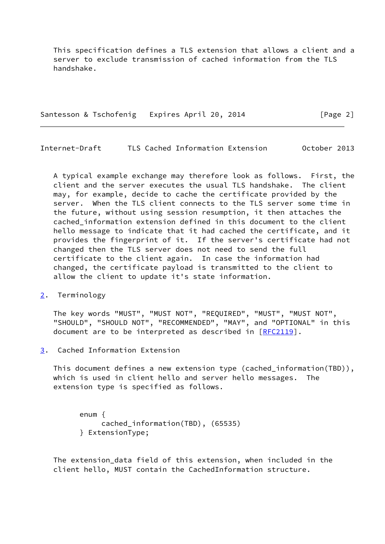This specification defines a TLS extension that allows a client and a server to exclude transmission of cached information from the TLS handshake.

Santesson & Tschofenig Expires April 20, 2014 [Page 2]

<span id="page-2-1"></span>Internet-Draft TLS Cached Information Extension October 2013

 A typical example exchange may therefore look as follows. First, the client and the server executes the usual TLS handshake. The client may, for example, decide to cache the certificate provided by the server. When the TLS client connects to the TLS server some time in the future, without using session resumption, it then attaches the cached\_information extension defined in this document to the client hello message to indicate that it had cached the certificate, and it provides the fingerprint of it. If the server's certificate had not changed then the TLS server does not need to send the full certificate to the client again. In case the information had changed, the certificate payload is transmitted to the client to allow the client to update it's state information.

<span id="page-2-0"></span>[2](#page-2-0). Terminology

 The key words "MUST", "MUST NOT", "REQUIRED", "MUST", "MUST NOT", "SHOULD", "SHOULD NOT", "RECOMMENDED", "MAY", and "OPTIONAL" in this document are to be interpreted as described in [\[RFC2119](https://datatracker.ietf.org/doc/pdf/rfc2119)].

<span id="page-2-2"></span>[3](#page-2-2). Cached Information Extension

 This document defines a new extension type (cached\_information(TBD)), which is used in client hello and server hello messages. The extension type is specified as follows.

 enum { cached\_information(TBD), (65535) } ExtensionType;

 The extension\_data field of this extension, when included in the client hello, MUST contain the CachedInformation structure.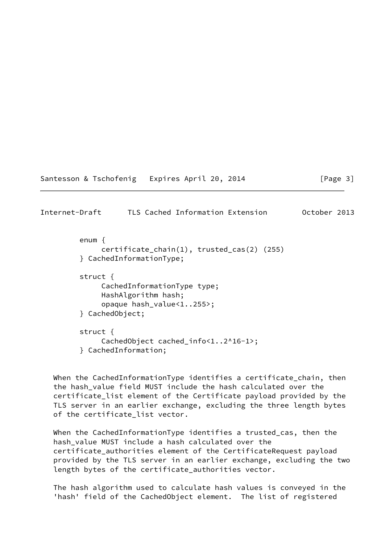| Santesson & Tschofenig |  | Expires April 20, 2014 |  |
|------------------------|--|------------------------|--|
|------------------------|--|------------------------|--|

 $[Page 3]$ 

<span id="page-3-0"></span>

| Internet-Draft |  | TLS Cached Information Extension |  | October 2013 |  |
|----------------|--|----------------------------------|--|--------------|--|
|----------------|--|----------------------------------|--|--------------|--|

 enum { certificate\_chain(1), trusted\_cas(2) (255) } CachedInformationType;

```
 struct {
     CachedInformationType type;
     HashAlgorithm hash;
     opaque hash_value<1..255>;
} CachedObject;
struct {
     CachedObject cached_info<1..2^16-1>;
```
} CachedInformation;

 When the CachedInformationType identifies a certificate\_chain, then the hash\_value field MUST include the hash calculated over the certificate\_list element of the Certificate payload provided by the TLS server in an earlier exchange, excluding the three length bytes of the certificate\_list vector.

 When the CachedInformationType identifies a trusted\_cas, then the hash\_value MUST include a hash calculated over the certificate authorities element of the CertificateRequest payload provided by the TLS server in an earlier exchange, excluding the two length bytes of the certificate\_authorities vector.

 The hash algorithm used to calculate hash values is conveyed in the 'hash' field of the CachedObject element. The list of registered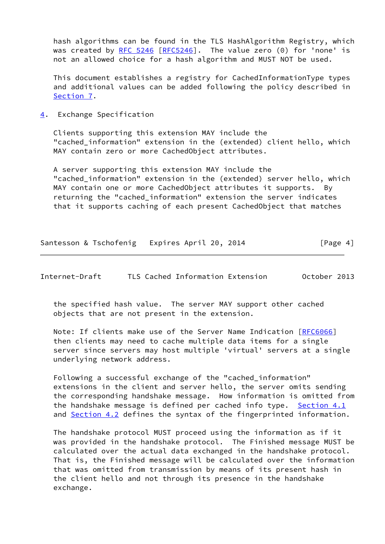hash algorithms can be found in the TLS HashAlgorithm Registry, which was created by [RFC 5246 \[RFC5246](https://datatracker.ietf.org/doc/pdf/rfc5246)]. The value zero (0) for 'none' is not an allowed choice for a hash algorithm and MUST NOT be used.

 This document establishes a registry for CachedInformationType types and additional values can be added following the policy described in [Section 7](#page-8-0).

<span id="page-4-0"></span>[4](#page-4-0). Exchange Specification

 Clients supporting this extension MAY include the "cached\_information" extension in the (extended) client hello, which MAY contain zero or more CachedObject attributes.

 A server supporting this extension MAY include the "cached information" extension in the (extended) server hello, which MAY contain one or more CachedObject attributes it supports. By returning the "cached\_information" extension the server indicates that it supports caching of each present CachedObject that matches

| Santesson & Tschofenig Expires April 20, 2014 |  |  | [Page 4] |
|-----------------------------------------------|--|--|----------|
|                                               |  |  |          |

<span id="page-4-1"></span>Internet-Draft TLS Cached Information Extension October 2013

 the specified hash value. The server MAY support other cached objects that are not present in the extension.

 Note: If clients make use of the Server Name Indication [\[RFC6066](https://datatracker.ietf.org/doc/pdf/rfc6066)] then clients may need to cache multiple data items for a single server since servers may host multiple 'virtual' servers at a single underlying network address.

 Following a successful exchange of the "cached\_information" extensions in the client and server hello, the server omits sending the corresponding handshake message. How information is omitted from the handshake message is defined per cached info type. Section  $4.1$ and [Section 4.2](#page-5-1) defines the syntax of the fingerprinted information.

 The handshake protocol MUST proceed using the information as if it was provided in the handshake protocol. The Finished message MUST be calculated over the actual data exchanged in the handshake protocol. That is, the Finished message will be calculated over the information that was omitted from transmission by means of its present hash in the client hello and not through its presence in the handshake exchange.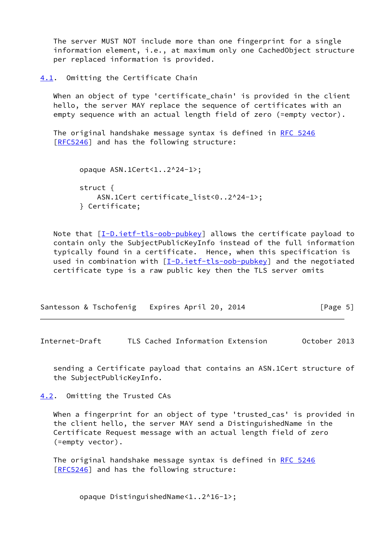The server MUST NOT include more than one fingerprint for a single information element, i.e., at maximum only one CachedObject structure per replaced information is provided.

<span id="page-5-0"></span>[4.1](#page-5-0). Omitting the Certificate Chain

When an object of type 'certificate chain' is provided in the client hello, the server MAY replace the sequence of certificates with an empty sequence with an actual length field of zero (=empty vector).

The original handshake message syntax is defined in [RFC 5246](https://datatracker.ietf.org/doc/pdf/rfc5246) [\[RFC5246](https://datatracker.ietf.org/doc/pdf/rfc5246)] and has the following structure:

```
 opaque ASN.1Cert<1..2^24-1>;
struct {
    ASN.1Cert certificate_list<0..2^24-1>;
} Certificate;
```
Note that  $[I-D.iett-tls-oob-pubkey]$  allows the certificate payload to contain only the SubjectPublicKeyInfo instead of the full information typically found in a certificate. Hence, when this specification is used in combination with [\[I-D.ietf-tls-oob-pubkey](#page-9-5)] and the negotiated certificate type is a raw public key then the TLS server omits

|  | Santesson & Tschofenig Expires April 20, 2014 | [Page 5] |
|--|-----------------------------------------------|----------|
|--|-----------------------------------------------|----------|

<span id="page-5-2"></span>Internet-Draft TLS Cached Information Extension October 2013

 sending a Certificate payload that contains an ASN.1Cert structure of the SubjectPublicKeyInfo.

<span id="page-5-1"></span>[4.2](#page-5-1). Omitting the Trusted CAs

 When a fingerprint for an object of type 'trusted\_cas' is provided in the client hello, the server MAY send a DistinguishedName in the Certificate Request message with an actual length field of zero (=empty vector).

The original handshake message syntax is defined in [RFC 5246](https://datatracker.ietf.org/doc/pdf/rfc5246) [\[RFC5246](https://datatracker.ietf.org/doc/pdf/rfc5246)] and has the following structure:

opaque DistinguishedName<1..2^16-1>;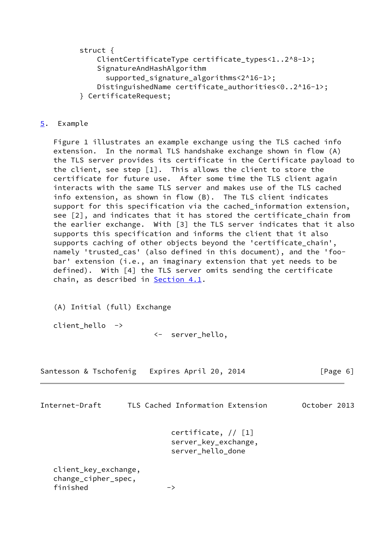struct {

- ClientCertificateType certificate\_types<1..2^8-1>; SignatureAndHashAlgorithm
	- supported signature algorithms<2^16-1>;
- DistinguishedName certificate authorities<0..2^16-1>;
- } CertificateRequest;

## <span id="page-6-0"></span>[5](#page-6-0). Example

 Figure 1 illustrates an example exchange using the TLS cached info extension. In the normal TLS handshake exchange shown in flow (A) the TLS server provides its certificate in the Certificate payload to the client, see step [1]. This allows the client to store the certificate for future use. After some time the TLS client again interacts with the same TLS server and makes use of the TLS cached info extension, as shown in flow (B). The TLS client indicates support for this specification via the cached information extension, see [2], and indicates that it has stored the certificate chain from the earlier exchange. With [3] the TLS server indicates that it also supports this specification and informs the client that it also supports caching of other objects beyond the 'certificate\_chain', namely 'trusted\_cas' (also defined in this document), and the 'foo bar' extension (i.e., an imaginary extension that yet needs to be defined). With [4] the TLS server omits sending the certificate chain, as described in **[Section 4.1](#page-5-0)**.

(A) Initial (full) Exchange

client hello ->

<- server\_hello,

| Santesson & Tschofenig Expires April 20, 2014 |  |  |  | [Page 6] |  |
|-----------------------------------------------|--|--|--|----------|--|
|-----------------------------------------------|--|--|--|----------|--|

<span id="page-6-1"></span>

| Internet-Draft                                          | TLS Cached Information Extension                                   | October 2013 |
|---------------------------------------------------------|--------------------------------------------------------------------|--------------|
|                                                         | certificate, $// [1]$<br>server_key_exchange,<br>server hello done |              |
| client_key_exchange,<br>change_cipher_spec,<br>finished | ->                                                                 |              |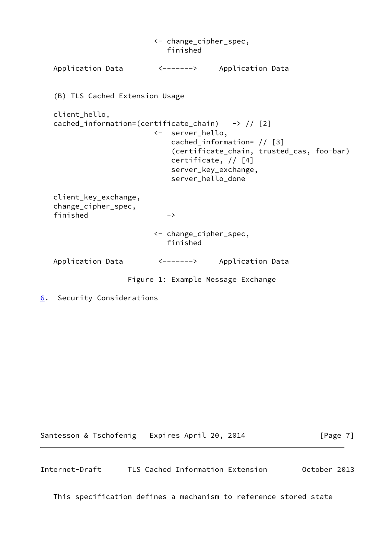<- change\_cipher\_spec, finished Application Data <-------> Application Data (B) TLS Cached Extension Usage client\_hello, cached\_information=(certificate\_chain)  $\rightarrow$  // [2] <- server\_hello, cached\_information= // [3] (certificate\_chain, trusted\_cas, foo-bar) certificate, // [4] server\_key\_exchange, server\_hello\_done client\_key\_exchange, change\_cipher\_spec, finished -> <- change\_cipher\_spec, finished Application Data <-------> Application Data Figure 1: Example Message Exchange

<span id="page-7-0"></span>[6](#page-7-0). Security Considerations

Santesson & Tschofenig Expires April 20, 2014 [Page 7]

<span id="page-7-1"></span>Internet-Draft TLS Cached Information Extension October 2013

This specification defines a mechanism to reference stored state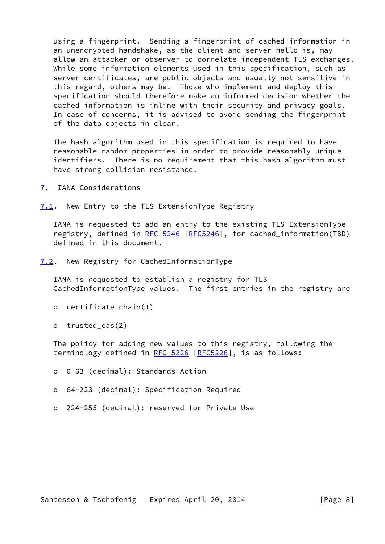using a fingerprint. Sending a fingerprint of cached information in an unencrypted handshake, as the client and server hello is, may allow an attacker or observer to correlate independent TLS exchanges. While some information elements used in this specification, such as server certificates, are public objects and usually not sensitive in this regard, others may be. Those who implement and deploy this specification should therefore make an informed decision whether the cached information is inline with their security and privacy goals. In case of concerns, it is advised to avoid sending the fingerprint of the data objects in clear.

 The hash algorithm used in this specification is required to have reasonable random properties in order to provide reasonably unique identifiers. There is no requirement that this hash algorithm must have strong collision resistance.

- <span id="page-8-0"></span>[7](#page-8-0). IANA Considerations
- <span id="page-8-1"></span>[7.1](#page-8-1). New Entry to the TLS ExtensionType Registry

 IANA is requested to add an entry to the existing TLS ExtensionType registry, defined in [RFC 5246](https://datatracker.ietf.org/doc/pdf/rfc5246) [[RFC5246](https://datatracker.ietf.org/doc/pdf/rfc5246)], for cached\_information(TBD) defined in this document.

<span id="page-8-2"></span>[7.2](#page-8-2). New Registry for CachedInformationType

 IANA is requested to establish a registry for TLS CachedInformationType values. The first entries in the registry are

- o certificate\_chain(1)
- o trusted\_cas(2)

 The policy for adding new values to this registry, following the terminology defined in [RFC 5226 \[RFC5226](https://datatracker.ietf.org/doc/pdf/rfc5226)], is as follows:

o 0-63 (decimal): Standards Action

- o 64-223 (decimal): Specification Required
- o 224-255 (decimal): reserved for Private Use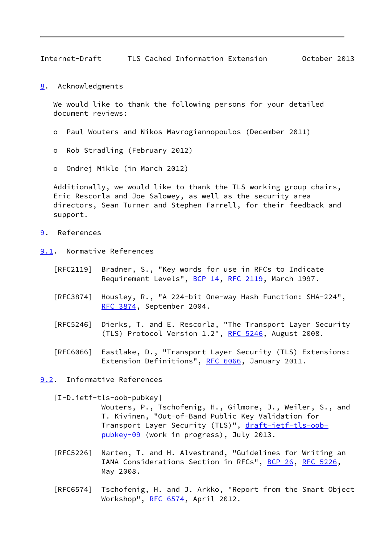<span id="page-9-1"></span>Internet-Draft TLS Cached Information Extension October 2013

<span id="page-9-0"></span>[8](#page-9-0). Acknowledgments

We would like to thank the following persons for your detailed document reviews:

- o Paul Wouters and Nikos Mavrogiannopoulos (December 2011)
- o Rob Stradling (February 2012)
- o Ondrej Mikle (in March 2012)

 Additionally, we would like to thank the TLS working group chairs, Eric Rescorla and Joe Salowey, as well as the security area directors, Sean Turner and Stephen Farrell, for their feedback and support.

- <span id="page-9-2"></span>[9](#page-9-2). References
- <span id="page-9-3"></span>[9.1](#page-9-3). Normative References
	- [RFC2119] Bradner, S., "Key words for use in RFCs to Indicate Requirement Levels", [BCP 14](https://datatracker.ietf.org/doc/pdf/bcp14), [RFC 2119](https://datatracker.ietf.org/doc/pdf/rfc2119), March 1997.
	- [RFC3874] Housley, R., "A 224-bit One-way Hash Function: SHA-224", [RFC 3874,](https://datatracker.ietf.org/doc/pdf/rfc3874) September 2004.
	- [RFC5246] Dierks, T. and E. Rescorla, "The Transport Layer Security (TLS) Protocol Version 1.2", [RFC 5246](https://datatracker.ietf.org/doc/pdf/rfc5246), August 2008.
	- [RFC6066] Eastlake, D., "Transport Layer Security (TLS) Extensions: Extension Definitions", [RFC 6066,](https://datatracker.ietf.org/doc/pdf/rfc6066) January 2011.

<span id="page-9-4"></span>[9.2](#page-9-4). Informative References

<span id="page-9-5"></span>[I-D.ietf-tls-oob-pubkey]

 Wouters, P., Tschofenig, H., Gilmore, J., Weiler, S., and T. Kivinen, "Out-of-Band Public Key Validation for Transport Layer Security (TLS)", [draft-ietf-tls-oob](https://datatracker.ietf.org/doc/pdf/draft-ietf-tls-oob-pubkey-09) [pubkey-09](https://datatracker.ietf.org/doc/pdf/draft-ietf-tls-oob-pubkey-09) (work in progress), July 2013.

- [RFC5226] Narten, T. and H. Alvestrand, "Guidelines for Writing an IANA Considerations Section in RFCs", [BCP 26](https://datatracker.ietf.org/doc/pdf/bcp26), [RFC 5226](https://datatracker.ietf.org/doc/pdf/rfc5226), May 2008.
- [RFC6574] Tschofenig, H. and J. Arkko, "Report from the Smart Object Workshop", [RFC 6574](https://datatracker.ietf.org/doc/pdf/rfc6574), April 2012.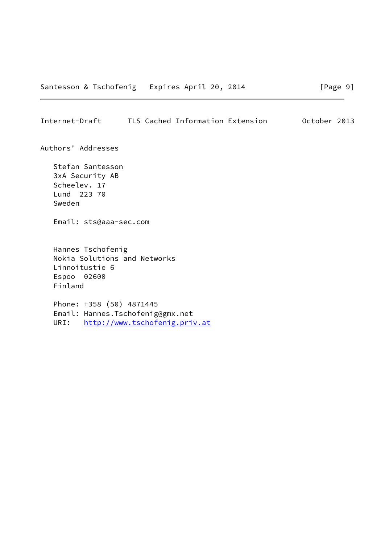### <span id="page-10-0"></span>Internet-Draft TLS Cached Information Extension October 2013

Authors' Addresses

 Stefan Santesson 3xA Security AB Scheelev. 17 Lund 223 70 Sweden

Email: sts@aaa-sec.com

 Hannes Tschofenig Nokia Solutions and Networks Linnoitustie 6 Espoo 02600 Finland

 Phone: +358 (50) 4871445 Email: Hannes.Tschofenig@gmx.net URI: <http://www.tschofenig.priv.at>